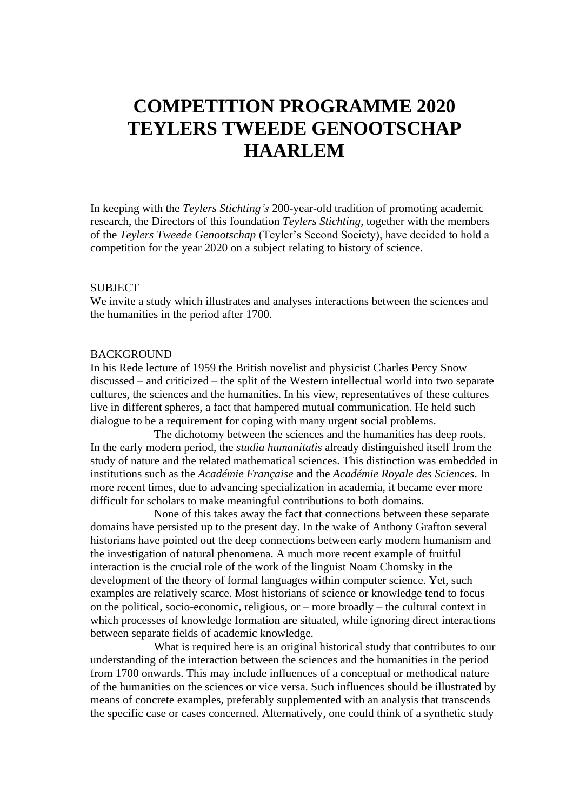# **COMPETITION PROGRAMME 2020 TEYLERS TWEEDE GENOOTSCHAP HAARLEM**

In keeping with the *Teylers Stichting's* 200-year-old tradition of promoting academic research, the Directors of this foundation *Teylers Stichting*, together with the members of the *Teylers Tweede Genootschap* (Teyler's Second Society), have decided to hold a competition for the year 2020 on a subject relating to history of science.

#### SUBJECT

We invite a study which illustrates and analyses interactions between the sciences and the humanities in the period after 1700.

#### **BACKGROUND**

In his Rede lecture of 1959 the British novelist and physicist Charles Percy Snow discussed – and criticized – the split of the Western intellectual world into two separate cultures, the sciences and the humanities. In his view, representatives of these cultures live in different spheres, a fact that hampered mutual communication. He held such dialogue to be a requirement for coping with many urgent social problems.

The dichotomy between the sciences and the humanities has deep roots. In the early modern period, the *studia humanitatis* already distinguished itself from the study of nature and the related mathematical sciences. This distinction was embedded in institutions such as the *Académie Française* and the *Académie Royale des Sciences*. In more recent times, due to advancing specialization in academia, it became ever more difficult for scholars to make meaningful contributions to both domains.

None of this takes away the fact that connections between these separate domains have persisted up to the present day. In the wake of Anthony Grafton several historians have pointed out the deep connections between early modern humanism and the investigation of natural phenomena. A much more recent example of fruitful interaction is the crucial role of the work of the linguist Noam Chomsky in the development of the theory of formal languages within computer science. Yet, such examples are relatively scarce. Most historians of science or knowledge tend to focus on the political, socio-economic, religious, or – more broadly – the cultural context in which processes of knowledge formation are situated, while ignoring direct interactions between separate fields of academic knowledge.

What is required here is an original historical study that contributes to our understanding of the interaction between the sciences and the humanities in the period from 1700 onwards. This may include influences of a conceptual or methodical nature of the humanities on the sciences or vice versa. Such influences should be illustrated by means of concrete examples, preferably supplemented with an analysis that transcends the specific case or cases concerned. Alternatively, one could think of a synthetic study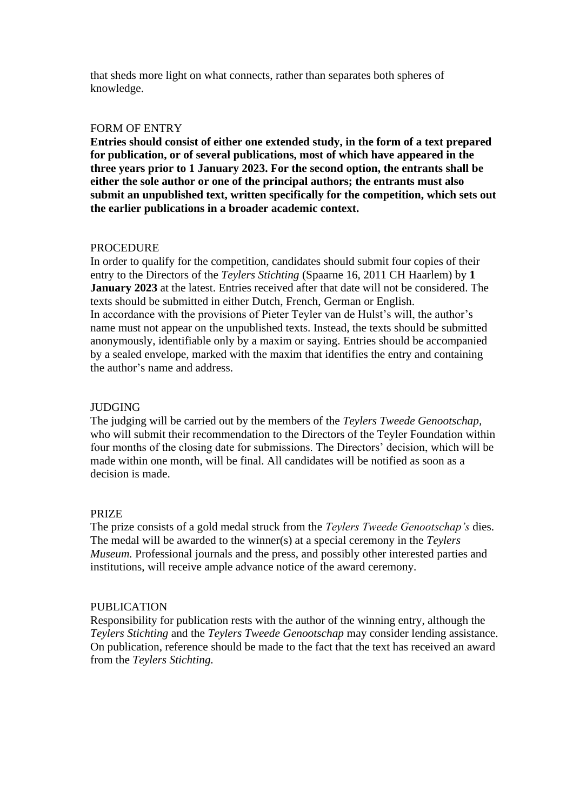that sheds more light on what connects, rather than separates both spheres of knowledge.

#### FORM OF ENTRY

**Entries should consist of either one extended study, in the form of a text prepared for publication, or of several publications, most of which have appeared in the three years prior to 1 January 2023. For the second option, the entrants shall be either the sole author or one of the principal authors; the entrants must also submit an unpublished text, written specifically for the competition, which sets out the earlier publications in a broader academic context.**

### PROCEDURE

In order to qualify for the competition, candidates should submit four copies of their entry to the Directors of the *Teylers Stichting* (Spaarne 16, 2011 CH Haarlem) by **1 January 2023** at the latest. Entries received after that date will not be considered. The texts should be submitted in either Dutch, French, German or English. In accordance with the provisions of Pieter Teyler van de Hulst's will, the author's name must not appear on the unpublished texts. Instead, the texts should be submitted anonymously, identifiable only by a maxim or saying. Entries should be accompanied by a sealed envelope, marked with the maxim that identifies the entry and containing the author's name and address.

## JUDGING

The judging will be carried out by the members of the *Teylers Tweede Genootschap,* who will submit their recommendation to the Directors of the Teyler Foundation within four months of the closing date for submissions. The Directors' decision, which will be made within one month, will be final. All candidates will be notified as soon as a decision is made.

### PRIZE

The prize consists of a gold medal struck from the *Teylers Tweede Genootschap's* dies. The medal will be awarded to the winner(s) at a special ceremony in the *Teylers Museum.* Professional journals and the press, and possibly other interested parties and institutions, will receive ample advance notice of the award ceremony.

### PUBLICATION

Responsibility for publication rests with the author of the winning entry, although the *Teylers Stichting* and the *Teylers Tweede Genootschap* may consider lending assistance. On publication, reference should be made to the fact that the text has received an award from the *Teylers Stichting.*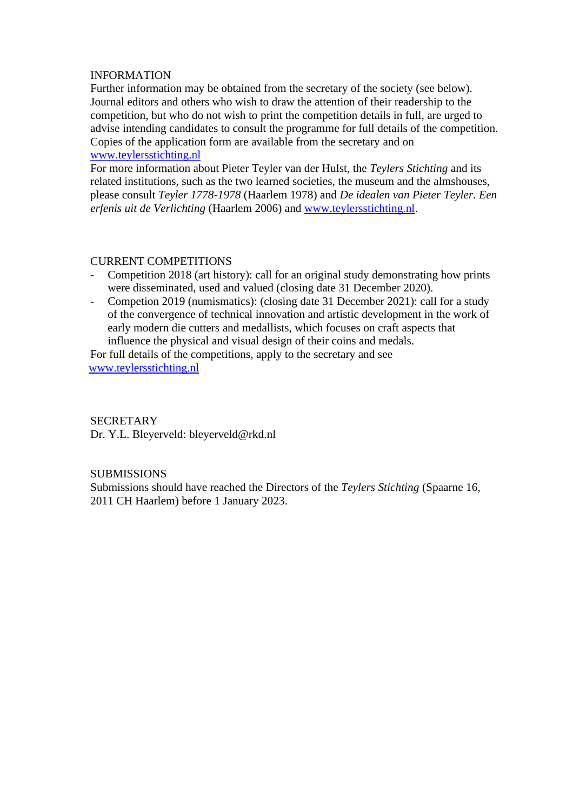## INFORMATION

Further information may be obtained from the secretary of the society (see below). Journal editors and others who wish to draw the attention of their readership to the competition, but who do not wish to print the competition details in full, are urged to advise intending candidates to consult the programme for full details of the competition. Copies of the application form are available from the secretary and on [www.teylersstichting.nl](http://www.teylersstichting.nl/)

For more information about Pieter Teyler van der Hulst, the *Teylers Stichting* and its related institutions, such as the two learned societies, the museum and the almshouses, please consult *Teyler 1778-1978* (Haarlem 1978) and *De idealen van Pieter Teyler. Een erfenis uit de Verlichting* (Haarlem 2006) and [www.teylersstichting.nl.](http://www.teylersstichting.nl/)

## CURRENT COMPETITIONS

- Competition 2018 (art history): call for an original study demonstrating how prints were disseminated, used and valued (closing date 31 December 2020).
- Competion 2019 (numismatics): (closing date 31 December 2021): call for a study of the convergence of technical innovation and artistic development in the work of early modern die cutters and medallists, which focuses on craft aspects that influence the physical and visual design of their coins and medals.

 For full details of the competitions, apply to the secretary and see [www.teylersstichting.nl](http://www.teylersstichting.nl/)

# **SECRETARY**

Dr. Y.L. Bleyerveld: bleyerveld@rkd.nl

### **SUBMISSIONS**

Submissions should have reached the Directors of the *Teylers Stichting* (Spaarne 16, 2011 CH Haarlem) before 1 January 2023.